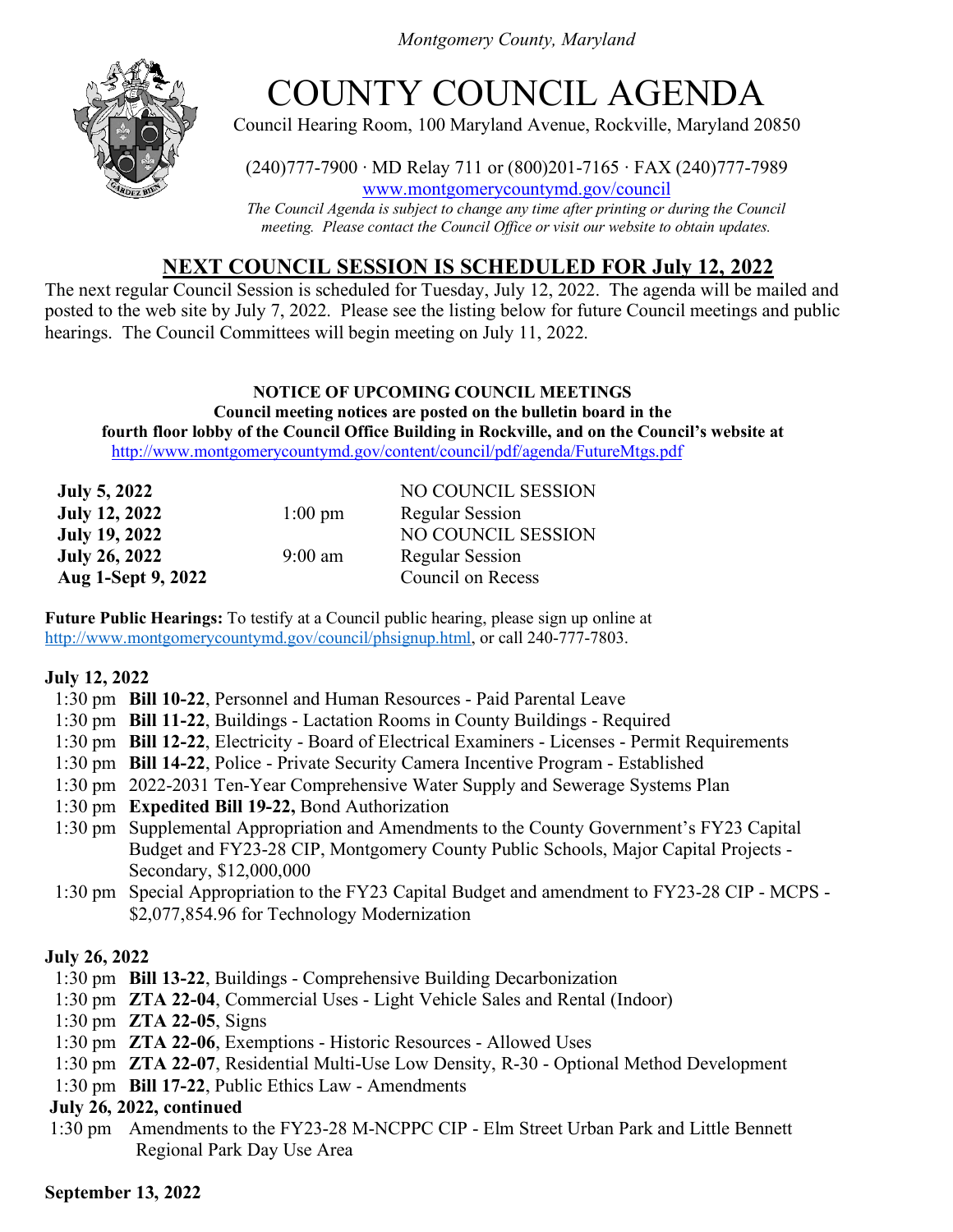*Montgomery County, Maryland*



# COUNTY COUNCIL AGENDA

Council Hearing Room, 100 Maryland Avenue, Rockville, Maryland 20850

(240)777-7900 ∙ MD Relay 711 or (800)201-7165 ∙ FAX (240)777-7989 www.montgomerycountymd.gov/council

*The Council Agenda is subject to change any time after printing or during the Council meeting. Please contact the Council Office or visit our website to obtain updates.*

# **NEXT COUNCIL SESSION IS SCHEDULED FOR July 12, 2022**

The next regular Council Session is scheduled for Tuesday, July 12, 2022. The agenda will be mailed and posted to the web site by July 7, 2022. Please see the listing below for future Council meetings and public hearings. The Council Committees will begin meeting on July 11, 2022.

#### **NOTICE OF UPCOMING COUNCIL MEETINGS Council meeting notices are posted on the bulletin board in the fourth floor lobby of the Council Office Building in Rockville, and on the Council's website at** <http://www.montgomerycountymd.gov/content/council/pdf/agenda/FutureMtgs.pdf>

| <b>July 5, 2022</b>  |                   | NO COUNCIL SESSION       |
|----------------------|-------------------|--------------------------|
| <b>July 12, 2022</b> | $1:00 \text{ pm}$ | <b>Regular Session</b>   |
| <b>July 19, 2022</b> |                   | NO COUNCIL SESSION       |
| <b>July 26, 2022</b> | $9:00 \text{ am}$ | <b>Regular Session</b>   |
| Aug 1-Sept 9, 2022   |                   | <b>Council on Recess</b> |

**Future Public Hearings:** To testify at a Council public hearing, please sign up online at [http://www.montgomerycountymd.gov/council/phsignup.html,](http://www.montgomerycountymd.gov/council/phsignup.html) or call 240-777-7803.

## **July 12, 2022**

- 1:30 pm **Bill 10-22**, Personnel and Human Resources Paid Parental Leave
- 1:30 pm **Bill 11-22**, Buildings Lactation Rooms in County Buildings Required
- 1:30 pm **Bill 12-22**, Electricity Board of Electrical Examiners Licenses Permit Requirements
- 1:30 pm **Bill 14-22**, Police Private Security Camera Incentive Program Established
- 1:30 pm 2022-2031 Ten-Year Comprehensive Water Supply and Sewerage Systems Plan
- 1:30 pm **Expedited Bill 19-22,** Bond Authorization
- 1:30 pm Supplemental Appropriation and Amendments to the County Government's FY23 Capital Budget and FY23-28 CIP, Montgomery County Public Schools, Major Capital Projects - Secondary, \$12,000,000
- 1:30 pm Special Appropriation to the FY23 Capital Budget and amendment to FY23-28 CIP MCPS \$2,077,854.96 for Technology Modernization

## **July 26, 2022**

- 1:30 pm **Bill 13-22**, Buildings Comprehensive Building Decarbonization
- 1:30 pm **ZTA 22-04**, Commercial Uses Light Vehicle Sales and Rental (Indoor)
- 1:30 pm **ZTA 22-05**, Signs
- 1:30 pm **ZTA 22-06**, Exemptions Historic Resources Allowed Uses
- 1:30 pm **ZTA 22-07**, Residential Multi-Use Low Density, R-30 Optional Method Development
- 1:30 pm **Bill 17-22**, Public Ethics Law Amendments

## **July 26, 2022, continued**

1:30 pm Amendments to the FY23-28 M-NCPPC CIP - Elm Street Urban Park and Little Bennett Regional Park Day Use Area

## **September 13, 2022**